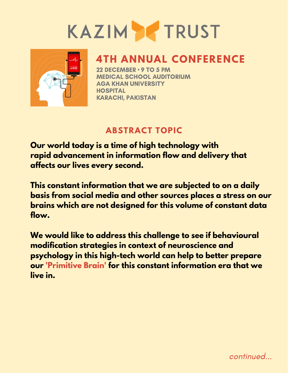# KAZIM TRUST



### **4TH ANNUAL CONFERENCE**

22 DECEMBER • 9 TO 5 PM MEDICAL SCHOOL AUDITORIUM AGA KHAN UNIVERSITY **HOSPITAL** KARACHI, PAKISTAN

### **ABSTRACT TOPIC**

**Our world today is a time of high technology with rapid advancement in information flow and delivery that affects our lives every second.**

**This constant information that we are subjected to on a daily basis from social media and other sources places a stress on our brains which are not designed for this volume of constant data flow.**

**We would like to address this challenge to see if behavioural modification strategies in context of neuroscience and psychology in this high-tech world can help to better prepare our 'Primitive Brain' for this constant information era that we live in.**

continued...